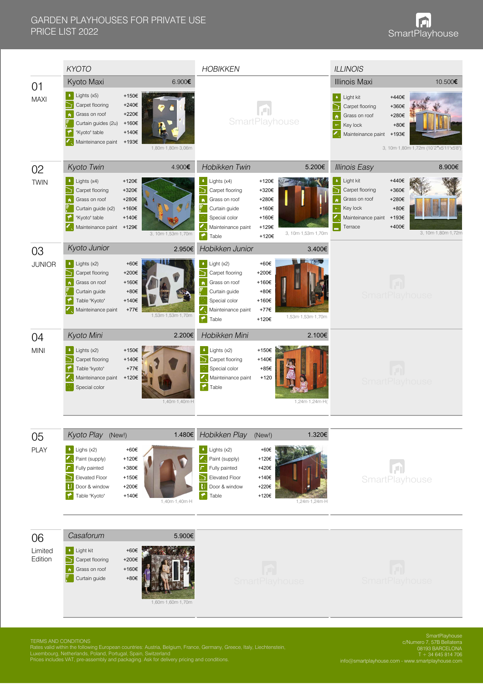|                          | <b>KYOTO</b>                                                                                                                                                                                                                                   |                                                                      | <b>HOBIKKEN</b>                                                                                                                                              |                                                                                   | <b>ILLINOIS</b>                                                                                                                                 |                                                                                              |  |
|--------------------------|------------------------------------------------------------------------------------------------------------------------------------------------------------------------------------------------------------------------------------------------|----------------------------------------------------------------------|--------------------------------------------------------------------------------------------------------------------------------------------------------------|-----------------------------------------------------------------------------------|-------------------------------------------------------------------------------------------------------------------------------------------------|----------------------------------------------------------------------------------------------|--|
| 01<br><b>MAXI</b>        | Kyoto Maxi<br>6.900€<br>$\bullet$ Lights (x5)<br>+150€<br>Carpet flooring<br>+240€<br>Grass on roof<br>+220€<br>$\ddot{\mathbf{r}}$<br>Curtain guides (2u)<br>+160€<br>"Kyoto" table<br>+140€<br>Mainteinance paint +193€<br>1,80m·1,80m·3,06m |                                                                      | SmartPlayhouse                                                                                                                                               |                                                                                   | <b>Illinois Maxi</b><br>Light kit<br>$\ddot{\bullet}$<br>Carpet flooring<br>Grass on roof<br>$\ddot{\bullet}$<br>Key lock<br>Mainteinance paint | 10.500€<br>+440€<br>+360€<br>+280€<br>+80€<br>+193€<br>3, 10m·1,80m·1,72m (10'2"x5'11"x5'8") |  |
| 02                       | Kyoto Twin                                                                                                                                                                                                                                     | 4.900€                                                               | Hobikken Twin                                                                                                                                                | 5.200€                                                                            | <b>Illinois Easy</b>                                                                                                                            | 8.900€                                                                                       |  |
| <b>TWIN</b>              | $\bullet$ : Lights (x4)<br>Carpet flooring<br>Grass on roof<br>$\hat{\mathbf{n}}$<br>Curtain guide (x2)<br>"Kyoto" table<br>Mainteinance paint +129€                                                                                           | +120€<br>+320€<br>+280€<br>+160€<br>+140€<br>3, 10m·1,53m·1,70m      | $\bullet$ : Lights (x4)<br>Carpet flooring<br>D<br>Grass on roof<br>$\hat{\mathbf{n}}$<br>Curtain guide<br>Special color<br>Mainteinance paint<br>M<br>Table | +120€<br>+320€<br>+280€<br>+160€<br>+160€<br>+129€<br>3, 10m·1,53m·1,70m<br>+120€ | Light kit<br>Carpet flooring<br>Grass on roof<br>Key lock<br>Mainteinance paint<br>Terrace                                                      | +440€<br>+360€<br>+280€<br>+80€<br>+193€<br>+400€<br>3, 10m·1,80m·1,72m                      |  |
| 03                       | Kyoto Junior                                                                                                                                                                                                                                   | 2.950€                                                               | Hobikken Junior                                                                                                                                              |                                                                                   | 3.400€                                                                                                                                          |                                                                                              |  |
| <b>JUNIOR</b>            | $\bullet$ : Lights (x2)<br>Carpet flooring<br>ה<br>Grass on roof<br>$\ddot{\bullet}$<br>Curtain guide<br>Table "Kyoto"<br>Mainteinance paint                                                                                                   | +60€<br>+200€<br>+160€<br>+80€<br>+140€<br>+77€<br>1,53m·1,53m·1,70m | Light (x2)<br>٠<br>Carpet flooring<br>Grass on roof<br>$\ddot{\mathbf{r}}$<br>Curtain guide<br>Special color<br>Mainteinance paint<br>۴<br>Table             | +60€<br>+200€<br>+160€<br>+80€<br>+160€<br>+77€<br>1,53m·1,53m·1,70m<br>+120€     |                                                                                                                                                 | <b>SmartPlayhouse</b>                                                                        |  |
| 04                       | Kyoto Mini                                                                                                                                                                                                                                     | 2.200€                                                               | Hobikken Mini                                                                                                                                                |                                                                                   | 2.100€                                                                                                                                          |                                                                                              |  |
| <b>MINI</b>              | $\bullet$ : Lights (x2)<br>Carpet flooring<br>Table "kyoto"<br>Mainteinance paint<br>Special color                                                                                                                                             | +150€<br>+140€<br>+77€<br>+120€<br>1,40m·1,40m·H                     | $\bullet$ : Lights (x2)<br>Carpet flooring<br>Special color<br>Mainteinance paint<br><b>T</b> Table                                                          | +150€<br>+140€<br>+85€<br>$+120$<br>1,24m·1,24m·H(                                |                                                                                                                                                 | <b>SmartPlayhouse</b>                                                                        |  |
|                          | Kyoto Play (New!)                                                                                                                                                                                                                              |                                                                      | 1.480€ Hobikken Play                                                                                                                                         | (New!)                                                                            | 1.320€                                                                                                                                          |                                                                                              |  |
| 05<br><b>PLAY</b>        | $\bullet$ Lighs (x2)<br>Paint (supply)<br>Fully painted<br>Elevated Floor<br>Ð<br>Door & window<br>Table "Kyoto"                                                                                                                               | +60€<br>+120€<br>+380€<br>+150€<br>+200€<br>+140€<br>1,40m·1,40m·H   | $\bullet$ : Lights (x2)<br>Paint (supply)<br>Fully painted<br>Elevated Floor<br>E<br>Door & window<br>$\blacktriangleright$<br>Table                         | +60€<br>+120€<br>+420€<br>+140€<br>+220€<br>+120€<br>1,24m·1,24m·H                |                                                                                                                                                 | SmartPlayhouse                                                                               |  |
|                          | Casaforum                                                                                                                                                                                                                                      | 5.900€                                                               |                                                                                                                                                              |                                                                                   |                                                                                                                                                 |                                                                                              |  |
| 06<br>Limited<br>Edition | <b>a</b> Light kit<br>Carpet flooring<br>$\blacktriangle$<br>Grass on roof<br>Curtain guide                                                                                                                                                    | +60€<br>+200€<br>+160€<br>$+80 \in$<br>1,60m·1,60m·1,70m             | <b>SmartPlayhouse</b>                                                                                                                                        |                                                                                   |                                                                                                                                                 | <b>SmartPlayhouse</b>                                                                        |  |

TERMS AND CONDITIONS<br>Rates valid within the following European countries: Austria, Belgium, France, Germany, Greece, Italy, Liechtenstein,<br>Luxembourg, Netherlands, Poland, Portugal, Spain, Switzerland<br>Prices includes VAT,

SmartPlayhouse c/Numero 7, 57B Bellaterra 08193 BARCELONA T + 34 645 814 706 info@smartplayhouse.com - www.smartplayhouse.com